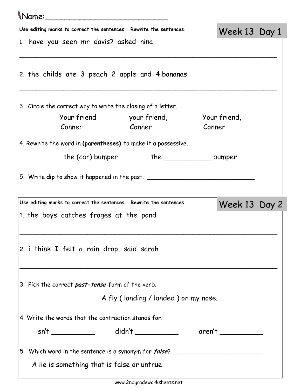## Name:\_\_\_\_\_\_\_\_\_\_\_\_\_\_\_\_\_\_\_\_\_\_\_\_\_

| Use editing marks to correct the sentences. Rewrite the sentences.               |                                       |        | Week 13 Day 1 |  |
|----------------------------------------------------------------------------------|---------------------------------------|--------|---------------|--|
| 1. have you seen mr davis? asked nina                                            |                                       |        |               |  |
|                                                                                  |                                       |        |               |  |
| 2. the childs ate 3 peach 2 apple and 4 bananas                                  |                                       |        |               |  |
|                                                                                  |                                       |        |               |  |
|                                                                                  |                                       |        |               |  |
| 3. Circle the correct way to write the closing of a letter.                      |                                       |        |               |  |
|                                                                                  | Your friend your friend, Your friend, |        |               |  |
| Conner                                                                           | <u>Conner</u>                         | Conner |               |  |
| 4. Rewrite the word in (parentheses) to make it a possessive.                    |                                       |        |               |  |
|                                                                                  |                                       |        |               |  |
|                                                                                  |                                       |        |               |  |
| 5. Write dip to show it happened in the past. __________________________________ |                                       |        |               |  |
|                                                                                  |                                       |        |               |  |
| Use editing marks to correct the sentences. Rewrite the sentences.               |                                       |        | Week 13 Day 2 |  |
| 1. the boys catches froges at the pond                                           |                                       |        |               |  |
|                                                                                  |                                       |        |               |  |
| 2. i think I felt a rain drop, said sarah                                        |                                       |        |               |  |
|                                                                                  |                                       |        |               |  |
|                                                                                  |                                       |        |               |  |
| 3. Pick the correct <i>past-tense</i> form of the verb.                          |                                       |        |               |  |
|                                                                                  | A fly (landing / landed) on my nose.  |        |               |  |
|                                                                                  |                                       |        |               |  |
| 4. Write the words that the contraction stands for.                              |                                       |        |               |  |
| isn't ______________  didn't ______________  aren't ____________________________ |                                       |        |               |  |
|                                                                                  |                                       |        |               |  |
| 5. Which word in the sentence is a synonym for <i>false</i> ?                    |                                       |        |               |  |
| A lie is something that is false or untrue.                                      |                                       |        |               |  |
|                                                                                  |                                       |        |               |  |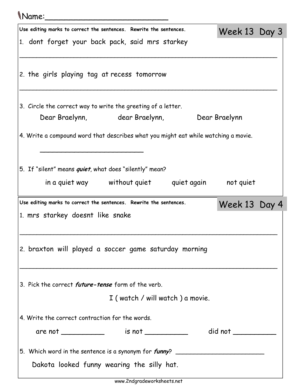## Name:\_\_\_\_\_\_\_\_\_\_\_\_\_\_\_\_\_\_\_\_\_\_\_\_\_

| Use editing marks to correct the sentences. Rewrite the sentences.                                          | Week 13 Day 3 |  |  |  |  |  |
|-------------------------------------------------------------------------------------------------------------|---------------|--|--|--|--|--|
| 1. dont forget your back pack, said mrs starkey                                                             |               |  |  |  |  |  |
| 2. the girls playing tag at recess tomorrow                                                                 |               |  |  |  |  |  |
| 3. Circle the correct way to write the greeting of a letter.<br>Dear Braelynn, dear Braelynn, Dear Braelynn |               |  |  |  |  |  |
| 4. Write a compound word that describes what you might eat while watching a movie.                          |               |  |  |  |  |  |
| 5. If "silent" means <i>quiet</i> , what does "silently" mean?<br>in a quiet way without quiet quiet again  | not quiet     |  |  |  |  |  |
| Use editing marks to correct the sentences. Rewrite the sentences.                                          | Week 13 Day 4 |  |  |  |  |  |
| 1. mrs starkey doesnt like snake                                                                            |               |  |  |  |  |  |
| 2. braxton will played a soccer game saturday morning                                                       |               |  |  |  |  |  |
|                                                                                                             |               |  |  |  |  |  |
| 3. Pick the correct <i>future-tense</i> form of the verb.                                                   |               |  |  |  |  |  |
| I (watch / will watch) a movie.                                                                             |               |  |  |  |  |  |
| 4. Write the correct contraction for the words.                                                             |               |  |  |  |  |  |
|                                                                                                             |               |  |  |  |  |  |
|                                                                                                             |               |  |  |  |  |  |